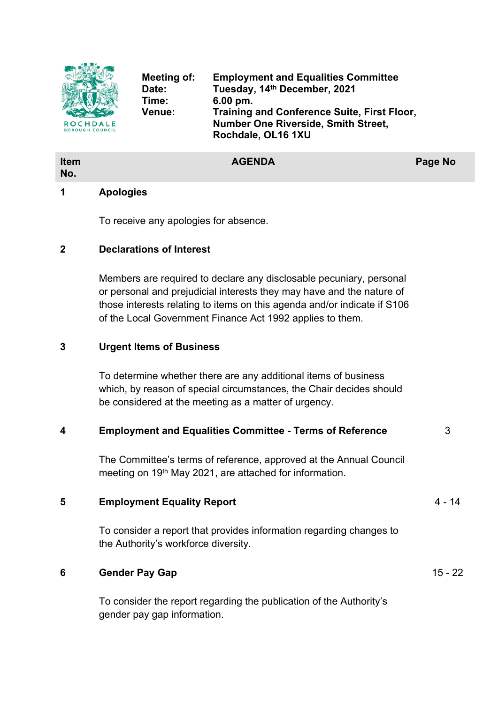

**Item No.**

**Meeting of: Employment and Equalities Committee Date: Tuesday, 14th December, 2021 Time: 6.00 pm. Venue: Training and Conference Suite, First Floor, Number One Riverside, Smith Street, Rochdale, OL16 1XU**

#### **AGENDA Page No**

# **1 Apologies**

To receive any apologies for absence.

#### **2 Declarations of Interest**

Members are required to declare any disclosable pecuniary, personal or personal and prejudicial interests they may have and the nature of those interests relating to items on this agenda and/or indicate if S106 of the Local Government Finance Act 1992 applies to them.

# **3 Urgent Items of Business**

To determine whether there are any additional items of business which, by reason of special circumstances, the Chair decides should be considered at the meeting as a matter of urgency.

| 4 | <b>Employment and Equalities Committee - Terms of Reference</b>                                                                           | 3         |
|---|-------------------------------------------------------------------------------------------------------------------------------------------|-----------|
|   | The Committee's terms of reference, approved at the Annual Council<br>meeting on 19 <sup>th</sup> May 2021, are attached for information. |           |
| 5 | <b>Employment Equality Report</b>                                                                                                         | 4 - 14    |
|   | To consider a report that provides information regarding changes to<br>the Authority's workforce diversity.                               |           |
| 6 | <b>Gender Pay Gap</b>                                                                                                                     | $15 - 22$ |
|   | To consider the report regarding the publication of the Authority's<br>gender pay gap information.                                        |           |